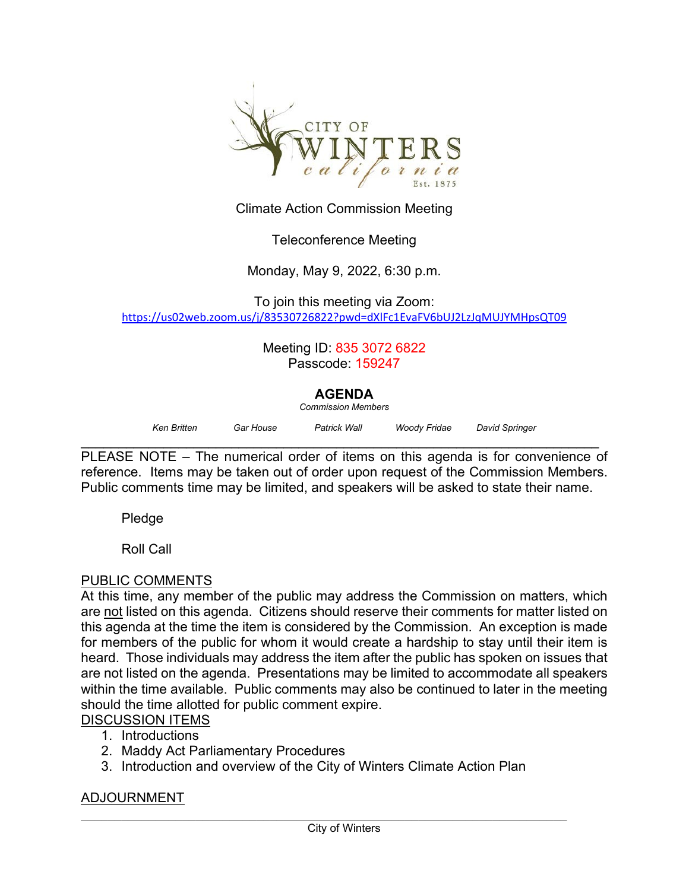

Climate Action Commission Meeting

## Teleconference Meeting

Monday, May 9, 2022, 6:30 p.m.

To join this meeting via Zoom: <https://us02web.zoom.us/j/83530726822?pwd=dXlFc1EvaFV6bUJ2LzJqMUJYMHpsQT09>

> Meeting ID: 835 3072 6822 Passcode: 159247

## **AGENDA**

*Commission Members*

| Ken Britten | Gar House | Patrick Wall | Woody Fridae | David Springer |
|-------------|-----------|--------------|--------------|----------------|
|             |           |              |              |                |

\_\_\_\_\_\_\_\_\_\_\_\_\_\_\_\_\_\_\_\_\_\_\_\_\_\_\_\_\_\_\_\_\_\_\_\_\_\_\_\_\_\_\_\_\_\_\_\_\_\_\_\_\_\_\_\_\_\_\_\_\_\_\_\_\_\_\_\_\_ PLEASE NOTE – The numerical order of items on this agenda is for convenience of reference. Items may be taken out of order upon request of the Commission Members. Public comments time may be limited, and speakers will be asked to state their name.

Pledge

Roll Call

## PUBLIC COMMENTS

At this time, any member of the public may address the Commission on matters, which are not listed on this agenda. Citizens should reserve their comments for matter listed on this agenda at the time the item is considered by the Commission. An exception is made for members of the public for whom it would create a hardship to stay until their item is heard. Those individuals may address the item after the public has spoken on issues that are not listed on the agenda. Presentations may be limited to accommodate all speakers within the time available. Public comments may also be continued to later in the meeting should the time allotted for public comment expire.

- DISCUSSION ITEMS
	- 1. Introductions
	- 2. Maddy Act Parliamentary Procedures
	- 3. Introduction and overview of the City of Winters Climate Action Plan

## ADJOURNMENT